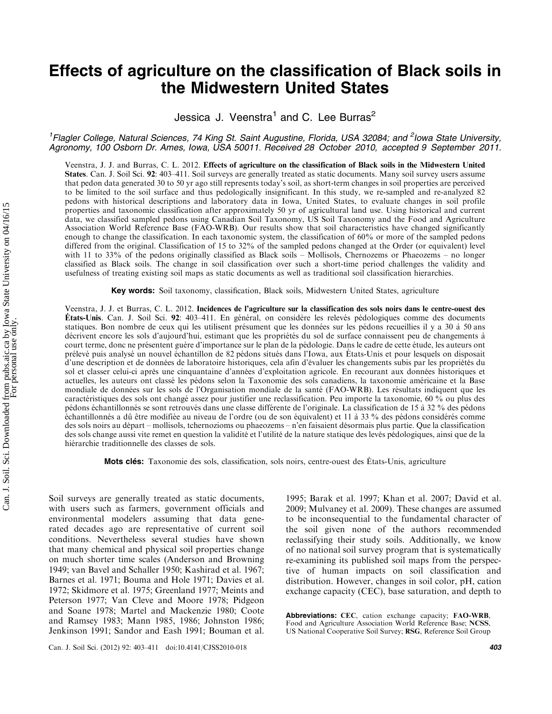# Effects of agriculture on the classification of Black soils in the Midwestern United States

Jessica J. Veenstra<sup>1</sup> and C. Lee Burras<sup>2</sup>

<sup>1</sup>Flagler College, Natural Sciences, 74 King St. Saint Augustine, Florida, USA 32084; and <sup>2</sup>Iowa State University, Agronomy, 100 Osborn Dr. Ames, Iowa, USA 50011. Received 28 October 2010, accepted 9 September 2011.

Veenstra, J. J. and Burras, C. L. 2012. Effects of agriculture on the classification of Black soils in the Midwestern United States. Can. J. Soil Sci. 92: 403-411. Soil surveys are generally treated as static documents. Many soil survey users assume that pedon data generated 30 to 50 yr ago still represents today's soil, as short-term changes in soil properties are perceived to be limited to the soil surface and thus pedologically insignificant. In this study, we re-sampled and re-analyzed 82 pedons with historical descriptions and laboratory data in Iowa, United States, to evaluate changes in soil profile properties and taxonomic classification after approximately 50 yr of agricultural land use. Using historical and current data, we classified sampled pedons using Canadian Soil Taxonomy, US Soil Taxonomy and the Food and Agriculture Association World Reference Base (FAO-WRB). Our results show that soil characteristics have changed significantly enough to change the classification. In each taxonomic system, the classification of 60% or more of the sampled pedons differed from the original. Classification of 15 to 32% of the sampled pedons changed at the Order (or equivalent) level with 11 to 33% of the pedons originally classified as Black soils – Mollisols, Chernozems or Phaeozems – no longer classified as Black soils. The change in soil classification over such a short-time period challenges the validity and usefulness of treating existing soil maps as static documents as well as traditional soil classification hierarchies.

Key words: Soil taxonomy, classification, Black soils, Midwestern United States, agriculture

Veenstra, J. J. et Burras, C. L. 2012. Incidences de l'agriculture sur la classification des sols noirs dans le centre-ouest des États-Unis. Can. J. Soil Sci. 92: 403-411. En général, on considère les relevés pédologiques comme des documents statiques. Bon nombre de ceux qui les utilisent présument que les données sur les pédons recueillies il y a 30 à 50 ans décrivent encore les sols d'aujourd'hui, estimant que les propriétés du sol de surface connaissent peu de changements à court terme, donc ne présentent guère d'importance sur le plan de la pédologie. Dans le cadre de cette étude, les auteurs ont prélevé puis analysé un nouvel échantillon de 82 pédons situés dans l'Iowa, aux États-Unis et pour lesquels on disposait d'une description et de données de laboratoire historiques, cela afin d'évaluer les changements subis par les propriétés du sol et classer celui-ci après une cinquantaine d'années d'exploitation agricole. En recourant aux données historiques et actuelles, les auteurs ont classé les pédons selon la Taxonomie des sols canadiens, la taxonomie américaine et la Base mondiale de données sur les sols de l'Organisation mondiale de la santé (FAO-WRB). Les résultats indiquent que les caractéristiques des sols ont changé assez pour justifier une reclassification. Peu importe la taxonomie, 60 % ou plus des pédons échantillonnés se sont retrouvés dans une classe différente de l'originale. La classification de 15 à 32 % des pédons échantillonnés a dû être modifiée au niveau de l'ordre (ou de son équivalent) et 11 à 33 % des pédons considérés comme des sols noirs au départ – mollisols, tchernozioms ou phaeozems – n'en faisaient désormais plus partie. Que la classification des sols change aussi vite remet en question la validité et l'utilité de la nature statique des levés pédologiques, ainsi que de la hiérarchie traditionnelle des classes de sols.

Mots clés: Taxonomie des sols, classification, sols noirs, centre-ouest des États-Unis, agriculture

Soil surveys are generally treated as static documents, with users such as farmers, government officials and environmental modelers assuming that data generated decades ago are representative of current soil conditions. Nevertheless several studies have shown that many chemical and physical soil properties change on much shorter time scales (Anderson and Browning 1949; van Bavel and Schaller 1950; Kashirad et al. 1967; Barnes et al. 1971; Bouma and Hole 1971; Davies et al. 1972; Skidmore et al. 1975; Greenland 1977; Meints and Peterson 1977; Van Cleve and Moore 1978; Pidgeon and Soane 1978; Martel and Mackenzie 1980; Coote and Ramsey 1983; Mann 1985, 1986; Johnston 1986; Jenkinson 1991; Sandor and Eash 1991; Bouman et al.

1995; Barak et al. 1997; Khan et al. 2007; David et al. 2009; Mulvaney et al. 2009). These changes are assumed to be inconsequential to the fundamental character of the soil given none of the authors recommended reclassifying their study soils. Additionally, we know of no national soil survey program that is systematically re-examining its published soil maps from the perspective of human impacts on soil classification and distribution. However, changes in soil color, pH, cation exchange capacity (CEC), base saturation, and depth to

Abbreviations: CEC, cation exchange capacity; FAO-WRB, Food and Agriculture Association World Reference Base; NCSS, US National Cooperative Soil Survey; RSG, Reference Soil Group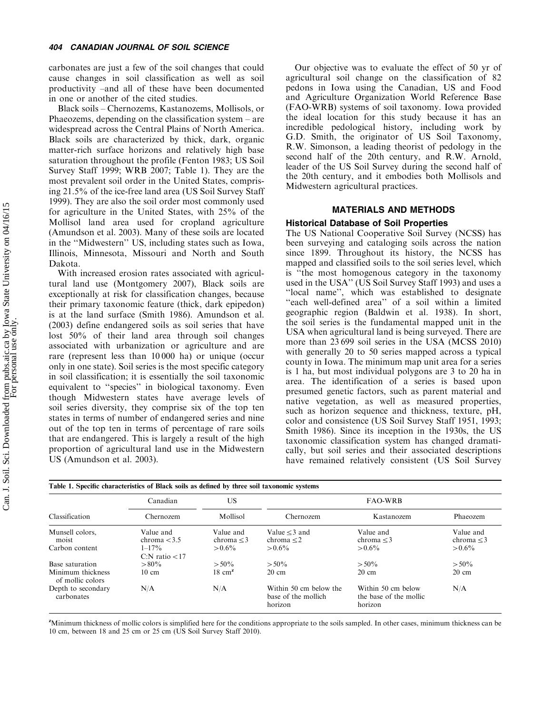carbonates are just a few of the soil changes that could cause changes in soil classification as well as soil productivity -and all of these have been documented in one or another of the cited studies.

Black soils - Chernozems, Kastanozems, Mollisols, or Phaeozems, depending on the classification system – are widespread across the Central Plains of North America. Black soils are characterized by thick, dark, organic matter-rich surface horizons and relatively high base saturation throughout the profile (Fenton 1983; US Soil Survey Staff 1999; WRB 2007; Table 1). They are the most prevalent soil order in the United States, comprising 21.5% of the ice-free land area (US Soil Survey Staff 1999). They are also the soil order most commonly used for agriculture in the United States, with 25% of the Mollisol land area used for cropland agriculture (Amundson et al. 2003). Many of these soils are located in the ''Midwestern'' US, including states such as Iowa, Illinois, Minnesota, Missouri and North and South Dakota.

With increased erosion rates associated with agricultural land use (Montgomery 2007), Black soils are exceptionally at risk for classification changes, because their primary taxonomic feature (thick, dark epipedon) is at the land surface (Smith 1986). Amundson et al. (2003) define endangered soils as soil series that have lost 50% of their land area through soil changes associated with urbanization or agriculture and are rare (represent less than 10 000 ha) or unique (occur only in one state). Soil series is the most specific category in soil classification; it is essentially the soil taxonomic equivalent to ''species'' in biological taxonomy. Even though Midwestern states have average levels of soil series diversity, they comprise six of the top ten states in terms of number of endangered series and nine out of the top ten in terms of percentage of rare soils that are endangered. This is largely a result of the high proportion of agricultural land use in the Midwestern US (Amundson et al. 2003).

Our objective was to evaluate the effect of 50 yr of agricultural soil change on the classification of 82 pedons in Iowa using the Canadian, US and Food and Agriculture Organization World Reference Base (FAO-WRB) systems of soil taxonomy. Iowa provided the ideal location for this study because it has an incredible pedological history, including work by G.D. Smith, the originator of US Soil Taxonomy, R.W. Simonson, a leading theorist of pedology in the second half of the 20th century, and R.W. Arnold, leader of the US Soil Survey during the second half of the 20th century, and it embodies both Mollisols and Midwestern agricultural practices.

# MATERIALS AND METHODS

# Historical Database of Soil Properties

The US National Cooperative Soil Survey (NCSS) has been surveying and cataloging soils across the nation since 1899. Throughout its history, the NCSS has mapped and classified soils to the soil series level, which is ''the most homogenous category in the taxonomy used in the USA'' (US Soil Survey Staff 1993) and uses a ''local name'', which was established to designate "each well-defined area" of a soil within a limited geographic region (Baldwin et al. 1938). In short, the soil series is the fundamental mapped unit in the USA when agricultural land is being surveyed. There are more than 23 699 soil series in the USA (MCSS 2010) with generally 20 to 50 series mapped across a typical county in Iowa. The minimum map unit area for a series is 1 ha, but most individual polygons are 3 to 20 ha in area. The identification of a series is based upon presumed genetic factors, such as parent material and native vegetation, as well as measured properties, such as horizon sequence and thickness, texture, pH, color and consistence (US Soil Survey Staff 1951, 1993; Smith 1986). Since its inception in the 1930s, the US taxonomic classification system has changed dramatically, but soil series and their associated descriptions have remained relatively consistent (US Soil Survey

| Table 1. Specific characteristics of Black soils as defined by three soil taxonomic systems |                                  |                              |                                                          |                                                         |                           |
|---------------------------------------------------------------------------------------------|----------------------------------|------------------------------|----------------------------------------------------------|---------------------------------------------------------|---------------------------|
|                                                                                             | Canadian                         | US.                          |                                                          | <b>FAO-WRB</b>                                          |                           |
| Classification                                                                              | Chernozem                        | Mollisol                     | Chernozem                                                | Kastanozem                                              | Phaeozem                  |
| Munsell colors.<br>moist                                                                    | Value and<br>chroma $<$ 3.5      | Value and<br>chroma $\leq$ 3 | Value $<$ 3 and<br>chroma $<$ 2                          | Value and<br>chroma $<$ 3                               | Value and<br>chroma $<$ 3 |
| Carbon content                                                                              | $1 - 17\%$<br>$C:N$ ratio $< 17$ | $> 0.6\%$                    | $> 0.6\%$                                                | $> 0.6\%$                                               | $> 0.6\%$                 |
| Base saturation                                                                             | $> 80\%$                         | $> 50\%$                     | $> 50\%$                                                 | $> 50\%$                                                | $> 50\%$                  |
| Minimum thickness<br>of mollic colors                                                       | $10 \text{ cm}$                  | $18 \text{ cm}^2$            | $20 \text{ cm}$                                          | $20 \text{ cm}$                                         | $20 \text{ cm}$           |
| Depth to secondary<br>carbonates                                                            | N/A                              | N/A                          | Within 50 cm below the<br>base of the mollich<br>horizon | Within 50 cm below<br>the base of the mollic<br>horizon | N/A                       |

z Minimum thickness of mollic colors is simplified here for the conditions appropriate to the soils sampled. In other cases, minimum thickness can be 10 cm, between 18 and 25 cm or 25 cm (US Soil Survey Staff 2010).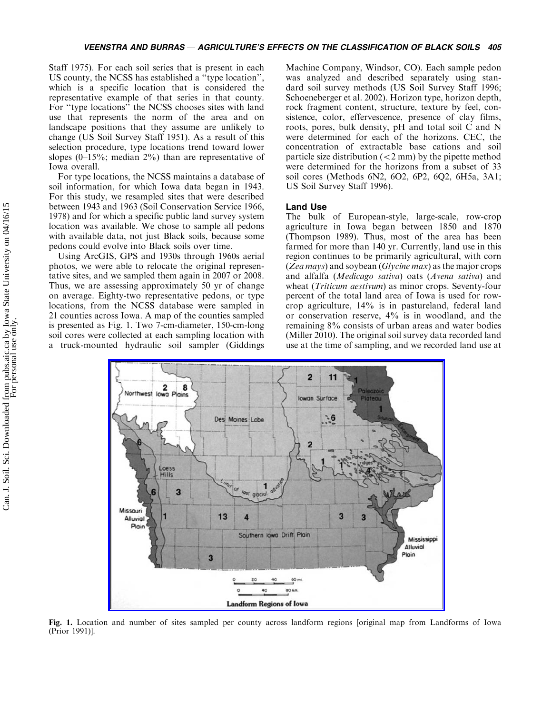Staff 1975). For each soil series that is present in each US county, the NCSS has established a ''type location'', which is a specific location that is considered the representative example of that series in that county. For ''type locations'' the NCSS chooses sites with land use that represents the norm of the area and on landscape positions that they assume are unlikely to change (US Soil Survey Staff 1951). As a result of this selection procedure, type locations trend toward lower slopes (0-15%; median 2%) than are representative of Iowa overall.

For type locations, the NCSS maintains a database of soil information, for which Iowa data began in 1943. For this study, we resampled sites that were described between 1943 and 1963 (Soil Conservation Service 1966, 1978) and for which a specific public land survey system location was available. We chose to sample all pedons with available data, not just Black soils, because some pedons could evolve into Black soils over time.

Using ArcGIS, GPS and 1930s through 1960s aerial photos, we were able to relocate the original representative sites, and we sampled them again in 2007 or 2008. Thus, we are assessing approximately 50 yr of change on average. Eighty-two representative pedons, or type locations, from the NCSS database were sampled in 21 counties across Iowa. A map of the counties sampled is presented as Fig. 1. Two 7-cm-diameter, 150-cm-long soil cores were collected at each sampling location with a truck-mounted hydraulic soil sampler (Giddings

Machine Company, Windsor, CO). Each sample pedon was analyzed and described separately using standard soil survey methods (US Soil Survey Staff 1996; Schoeneberger et al. 2002). Horizon type, horizon depth, rock fragment content, structure, texture by feel, consistence, color, effervescence, presence of clay films, roots, pores, bulk density, pH and total soil C and N were determined for each of the horizons. CEC, the concentration of extractable base cations and soil particle size distribution  $(< 2$  mm) by the pipette method were determined for the horizons from a subset of 33 soil cores (Methods 6N2, 6O2, 6P2, 6Q2, 6H5a, 3A1; US Soil Survey Staff 1996).

# Land Use

The bulk of European-style, large-scale, row-crop agriculture in Iowa began between 1850 and 1870 (Thompson 1989). Thus, most of the area has been farmed for more than 140 yr. Currently, land use in this region continues to be primarily agricultural, with corn (Zea mays) and soybean (Glycine max) as the major crops and alfalfa (Medicago sativa) oats (Avena sativa) and wheat *(Triticum aestivum)* as minor crops. Seventy-four percent of the total land area of Iowa is used for rowcrop agriculture, 14% is in pastureland, federal land or conservation reserve, 4% is in woodland, and the remaining 8% consists of urban areas and water bodies (Miller 2010). The original soil survey data recorded land use at the time of sampling, and we recorded land use at



Fig. 1. Location and number of sites sampled per county across landform regions [original map from Landforms of Iowa (Prior 1991)].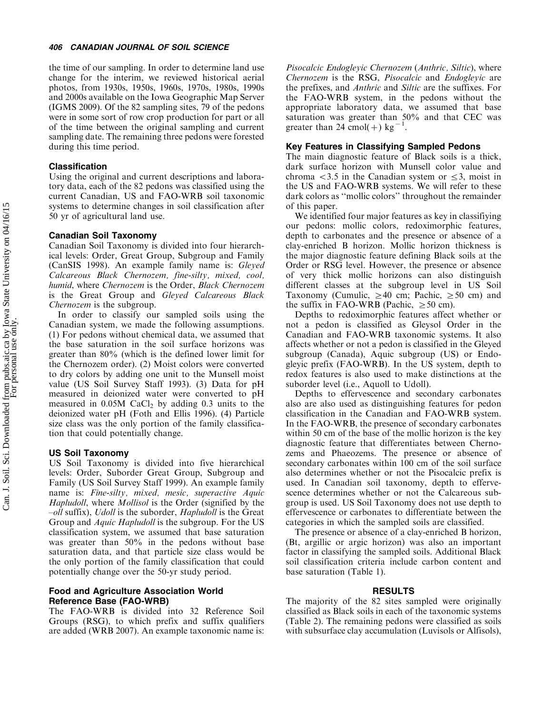#### 406 CANADIAN JOURNAL OF SOIL SCIENCE

the time of our sampling. In order to determine land use change for the interim, we reviewed historical aerial photos, from 1930s, 1950s, 1960s, 1970s, 1980s, 1990s and 2000s available on the Iowa Geographic Map Server (IGMS 2009). Of the 82 sampling sites, 79 of the pedons were in some sort of row crop production for part or all of the time between the original sampling and current sampling date. The remaining three pedons were forested during this time period.

# Classification

Using the original and current descriptions and laboratory data, each of the 82 pedons was classified using the current Canadian, US and FAO-WRB soil taxonomic systems to determine changes in soil classification after 50 yr of agricultural land use.

# Canadian Soil Taxonomy

Canadian Soil Taxonomy is divided into four hierarchical levels: Order, Great Group, Subgroup and Family (CanSIS 1998). An example family name is: Gleyed Calcareous Black Chernozem, fine-silty, mixed, cool, humid, where Chernozem is the Order, Black Chernozem is the Great Group and Gleyed Calcareous Black Chernozem is the subgroup.

In order to classify our sampled soils using the Canadian system, we made the following assumptions. (1) For pedons without chemical data, we assumed that the base saturation in the soil surface horizons was greater than 80% (which is the defined lower limit for the Chernozem order). (2) Moist colors were converted to dry colors by adding one unit to the Munsell moist value (US Soil Survey Staff 1993). (3) Data for pH measured in deionized water were converted to pH measured in  $0.05M$  CaCl<sub>2</sub> by adding 0.3 units to the deionized water pH (Foth and Ellis 1996). (4) Particle size class was the only portion of the family classification that could potentially change.

#### US Soil Taxonomy

US Soil Taxonomy is divided into five hierarchical levels: Order, Suborder Great Group, Subgroup and Family (US Soil Survey Staff 1999). An example family name is: Fine-silty, mixed, mesic, superactive Aquic Hapludoll, where *Mollisol* is the Order (signified by the -oll suffix), Udoll is the suborder, Hapludoll is the Great Group and Aquic Hapludoll is the subgroup. For the US classification system, we assumed that base saturation was greater than 50% in the pedons without base saturation data, and that particle size class would be the only portion of the family classification that could potentially change over the 50-yr study period.

# Food and Agriculture Association World Reference Base (FAO-WRB)

The FAO-WRB is divided into 32 Reference Soil Groups (RSG), to which prefix and suffix qualifiers are added (WRB 2007). An example taxonomic name is:

Pisocalcic Endogleyic Chernozem (Anthric, Siltic), where Chernozem is the RSG, Pisocalcic and Endogleyic are the prefixes, and Anthric and Siltic are the suffixes. For the FAO-WRB system, in the pedons without the appropriate laboratory data, we assumed that base saturation was greater than 50% and that CEC was greater than 24 cmol(+) kg<sup>-1</sup> .

## Key Features in Classifying Sampled Pedons

The main diagnostic feature of Black soils is a thick, dark surface horizon with Munsell color value and chroma  $<$ 3.5 in the Canadian system or  $\leq$ 3, moist in the US and FAO-WRB systems. We will refer to these dark colors as ''mollic colors'' throughout the remainder of this paper.

We identified four major features as key in classifiying our pedons: mollic colors, redoximorphic features, depth to carbonates and the presence or absence of a clay-enriched B horizon. Mollic horizon thickness is the major diagnostic feature defining Black soils at the Order or RSG level. However, the presence or absence of very thick mollic horizons can also distinguish different classes at the subgroup level in US Soil Taxonomy (Cumulic,  $\geq 40$  cm; Pachic,  $\geq 50$  cm) and the suffix in FAO-WRB (Pachic,  $\geq 50$  cm).

Depths to redoximorphic features affect whether or not a pedon is classified as Gleysol Order in the Canadian and FAO-WRB taxonomic systems. It also affects whether or not a pedon is classified in the Gleyed subgroup (Canada), Aquic subgroup (US) or Endogleyic prefix (FAO-WRB). In the US system, depth to redox features is also used to make distinctions at the suborder level (i.e., Aquoll to Udoll).

Depths to effervescence and secondary carbonates also are also used as distinguishing features for pedon classification in the Canadian and FAO-WRB system. In the FAO-WRB, the presence of secondary carbonates within 50 cm of the base of the mollic horizon is the key diagnostic feature that differentiates between Chernozems and Phaeozems. The presence or absence of secondary carbonates within 100 cm of the soil surface also determines whether or not the Pisocalcic prefix is used. In Canadian soil taxonomy, depth to effervescence determines whether or not the Calcareous subgroup is used. US Soil Taxonomy does not use depth to effervescence or carbonates to differentiate between the categories in which the sampled soils are classified.

The presence or absence of a clay-enriched B horizon, (Bt, argillic or argic horizon) was also an important factor in classifying the sampled soils. Additional Black soil classification criteria include carbon content and base saturation (Table 1).

#### RESULTS

The majority of the 82 sites sampled were originally classified as Black soils in each of the taxonomic systems (Table 2). The remaining pedons were classified as soils with subsurface clay accumulation (Luvisols or Alfisols),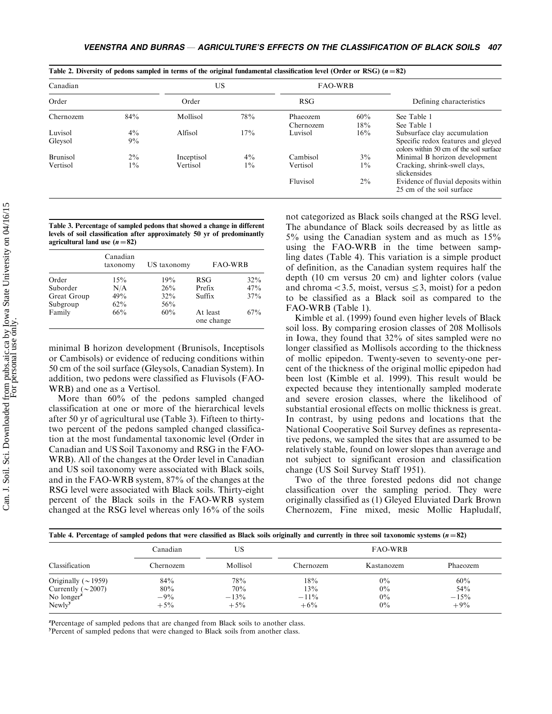| Canadian        |       | US         |       | <b>FAO-WRB</b> |       |                                                                               |
|-----------------|-------|------------|-------|----------------|-------|-------------------------------------------------------------------------------|
| Order           |       | Order      |       | <b>RSG</b>     |       | Defining characteristics                                                      |
| Chernozem       | 84%   | Mollisol   | 78%   | Phaeozem       | 60%   | See Table 1                                                                   |
|                 |       |            |       | Chernozem      | 18%   | See Table 1                                                                   |
| Luvisol         | $4\%$ | Alfisol    | 17%   | Luvisol        | 16%   | Subsurface clay accumulation                                                  |
| Gleysol         | 9%    |            |       |                |       | Specific redox features and gleved<br>colors within 50 cm of the soil surface |
| <b>Brunisol</b> | $2\%$ | Inceptisol | $4\%$ | Cambisol       | $3\%$ | Minimal B horizon development                                                 |
| Vertisol        | $1\%$ | Vertisol   | $1\%$ | Vertisol       | $1\%$ | Cracking, shrink-swell clays,<br>slickensides                                 |
|                 |       |            |       | Fluvisol       | $2\%$ | Evidence of fluvial deposits within<br>25 cm of the soil surface              |

Table 3. Percentage of sampled pedons that showed a change in different levels of soil classification after approximately 50 yr of predominantly agricultural land use  $(n=82)$ 

|             | Canadian<br>taxonomy | US taxonomy | <b>FAO-WRB</b>         |        |
|-------------|----------------------|-------------|------------------------|--------|
| Order       | 15%                  | 19%         | <b>RSG</b>             | $32\%$ |
| Suborder    | N/A                  | 26%         | Prefix                 | 47%    |
| Great Group | 49%                  | 32%         | Suffix                 | 37%    |
| Subgroup    | $62\%$               | 56%         |                        |        |
| Family      | 66%                  | 60%         | At least<br>one change | $67\%$ |

minimal B horizon development (Brunisols, Inceptisols or Cambisols) or evidence of reducing conditions within 50 cm of the soil surface (Gleysols, Canadian System). In addition, two pedons were classified as Fluvisols (FAO-WRB) and one as a Vertisol.

More than 60% of the pedons sampled changed classification at one or more of the hierarchical levels after 50 yr of agricultural use (Table 3). Fifteen to thirtytwo percent of the pedons sampled changed classification at the most fundamental taxonomic level (Order in Canadian and US Soil Taxonomy and RSG in the FAO-WRB). All of the changes at the Order level in Canadian and US soil taxonomy were associated with Black soils, and in the FAO-WRB system, 87% of the changes at the RSG level were associated with Black soils. Thirty-eight percent of the Black soils in the FAO-WRB system changed at the RSG level whereas only 16% of the soils

not categorized as Black soils changed at the RSG level. The abundance of Black soils decreased by as little as 5% using the Canadian system and as much as 15% using the FAO-WRB in the time between sampling dates (Table 4). This variation is a simple product of definition, as the Canadian system requires half the depth (10 cm versus 20 cm) and lighter colors (value and chroma  $<$  3.5, moist, versus  $\leq$  3, moist) for a pedon to be classified as a Black soil as compared to the FAO-WRB (Table 1).

Kimble et al. (1999) found even higher levels of Black soil loss. By comparing erosion classes of 208 Mollisols in Iowa, they found that 32% of sites sampled were no longer classified as Mollisols according to the thickness of mollic epipedon. Twenty-seven to seventy-one percent of the thickness of the original mollic epipedon had been lost (Kimble et al. 1999). This result would be expected because they intentionally sampled moderate and severe erosion classes, where the likelihood of substantial erosional effects on mollic thickness is great. In contrast, by using pedons and locations that the National Cooperative Soil Survey defines as representative pedons, we sampled the sites that are assumed to be relatively stable, found on lower slopes than average and not subject to significant erosion and classification change (US Soil Survey Staff 1951).

Two of the three forested pedons did not change classification over the sampling period. They were originally classified as (1) Gleyed Eluviated Dark Brown Chernozem, Fine mixed, mesic Mollic Hapludalf,

| Table 4. Percentage of sampled pedons that were classified as Black soils originally and currently in three soil taxonomic systems $(n=82)$ | FAQ-WRB   |          |           |            |          |
|---------------------------------------------------------------------------------------------------------------------------------------------|-----------|----------|-----------|------------|----------|
| Classification                                                                                                                              | Chernozem | Mollisol | Chernozem | Kastanozem | Phaeozem |
| Originally ( $\sim$ 1959)                                                                                                                   | 84%       | 78%      | 18%       | $0\%$      | 60%      |
| Currently ( $\sim$ 2007)                                                                                                                    | 80%       | 70%      | 13%       | $0\%$      | 54%      |
| No longer $\mathbf{z}$                                                                                                                      | $-9%$     | $-13%$   | $-11\%$   | $0\%$      | $-15%$   |
| Newly <sup>y</sup>                                                                                                                          | $+5\%$    | $+5%$    | $+6\%$    | $0\%$      | $+9%$    |

<sup>z</sup>Percentage of sampled pedons that are changed from Black soils to another class.

<sup>y</sup>Percent of sampled pedons that were changed to Black soils from another class.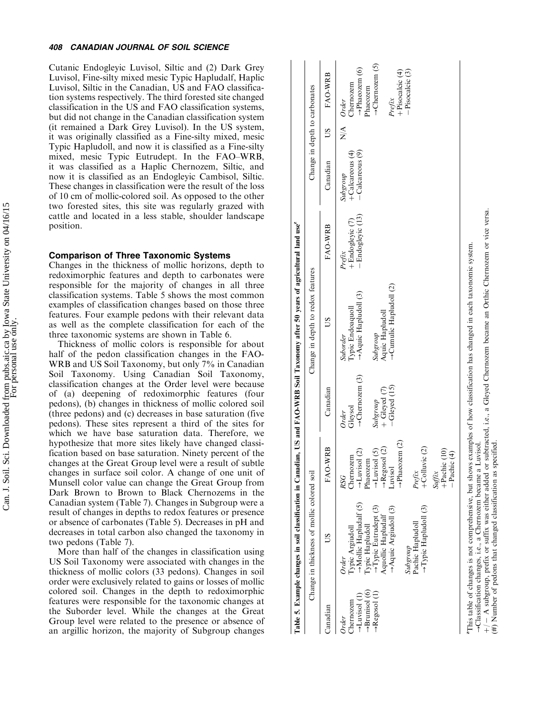#### 408 CANADIAN JOURNAL OF SOIL SCIENCE

Cutanic Endogleyic Luvisol, Siltic and (2) Dark Grey Luvisol, Fine-silty mixed mesic Typic Hapludalf, Haplic Luvisol, Siltic in the Canadian, US and FAO classification systems respectively. The third forested site changed classification in the US and FAO classification systems, but did not change in the Canadian classification system (it remained a Dark Grey Luvisol). In the US system, it was originally classified as a Fine-silty mixed, mesic Typic Hapludoll, and now it is classified as a Fine-silty mixed, mesic Typic Eutrudept. In the FAO -WRB, it was classified as a Haplic Chernozem, Siltic, and now it is classified as an Endogleyic Cambisol, Siltic. These changes in classification were the result of the loss of 10 cm of mollic-colored soil. As opposed to the other two forested sites, this site was regularly grazed with cattle and located in a less stable, shoulder landscape position.

## Comparison of Three Taxonomic Systems

Changes in the thickness of mollic horizons, depth to redoximorphic features and depth to carbonates were responsible for the majority of changes in all three classification systems. Table 5 shows the most common examples of classification changes based on those three features. Four example pedons with their relevant data as well as the complete classification for each of the three taxonomic systems are shown in Table 6.

Thickness of mollic colors is responsible for about half of the pedon classification changes in the FAO-WRB and US Soil Taxonomy, but only 7% in Canadian Soil Taxonomy. Using Canadian Soil Taxonomy, classification changes at the Order level were because of (a) deepening of redoximorphic features (four pedons), (b) changes in thickness of mollic colored soil (three pedons) and (c) decreases in base saturation (five pedons). These sites represent a third of the sites for which we have base saturation data. Therefore, we hypothesize that more sites likely have changed classification based on base saturation. Ninety percent of the changes at the Great Group level were a result of subtle changes in surface soil color. A change of one unit of Munsell color value can change the Great Group from Dark Brown to Brown to Black Chernozems in the Canadian system (Table 7). Changes in Subgroup were a result of changes in depths to redox features or presence or absence of carbonates (Table 5). Decreases in pH and decreases in total carbon also changed the taxonomy in two pedons (Table 7).

More than half of the changes in classification using US Soil Taxonomy were associated with changes in the thickness of mollic colors (33 pedons). Changes in soil order were exclusively related to gains or losses of mollic colored soil. Changes in the depth to redoximorphic features were responsible for the taxonomic changes at the Suborder level. While the changes at the Great Group level were related to the presence or absence of an argillic horizon, the majority of Subgroup changes

|                                                                                                      |                                                                                                                                                                                                                                          |                                                                                                                                                                                                                                     |                                                                                                 | Table 5. Example changes in soil classification in Canadian, US and FAO-WRB Soil Taxonomy after 50 years of agricultural land use <sup>2</sup>                                                                                                                      |                                                     |                                                     |               |                                                                                                                                             |
|------------------------------------------------------------------------------------------------------|------------------------------------------------------------------------------------------------------------------------------------------------------------------------------------------------------------------------------------------|-------------------------------------------------------------------------------------------------------------------------------------------------------------------------------------------------------------------------------------|-------------------------------------------------------------------------------------------------|---------------------------------------------------------------------------------------------------------------------------------------------------------------------------------------------------------------------------------------------------------------------|-----------------------------------------------------|-----------------------------------------------------|---------------|---------------------------------------------------------------------------------------------------------------------------------------------|
|                                                                                                      | Change in thickness of mollic colored soil                                                                                                                                                                                               |                                                                                                                                                                                                                                     |                                                                                                 | Change in depth to redox features                                                                                                                                                                                                                                   |                                                     | Change in depth to carbonates                       |               |                                                                                                                                             |
| Canadian                                                                                             | SU                                                                                                                                                                                                                                       | FAO-WRB                                                                                                                                                                                                                             | Canadian                                                                                        | SU                                                                                                                                                                                                                                                                  | FAO-WRB                                             | Canadian                                            | SO            | FAO-WRB                                                                                                                                     |
| $\rightarrow$ Brunisol (6)<br>→ Regosol (1)<br>$\rightarrow$ Luvisol (1)<br><b>hernozem</b><br>Order | Mollic Hapludalf (5)<br>$\rightarrow$ Typic Hapludoll (3)<br>$\rightarrow$ Typic Eutrudept (3)<br>$\rightarrow$ Aquic Argiudoll (3)<br>Aquollic Hapludalf<br>Pachic Hapludoll<br>Typic Argiudoll<br>Typic Hapludoll<br>Subgroup<br>Order | $\rightarrow$ Phaeozem (2)<br>+Colluvic (2)<br>$\rightarrow$ Regosol (2)<br>$\rightarrow$ Luvisol (5)<br>$+$ Pachic (10)<br>$\rightarrow$ Luvisol (2)<br>-Pachic (4)<br>Chernozem<br>Phaeozem<br>Luvisol<br>Prefix<br>Suffix<br>RSG | $\rightarrow$ Chernozem (3)<br>$-Gleyed$ (15)<br>$+$ Gleyed (7)<br>Subgroup<br>Gleysol<br>Order | →Cumulic Hapludoll (2)<br>$\rightarrow$ Aquic Hapludoll (3)<br>Typic Endoaquoll<br>Aquic Hapludoll<br>Subgroup<br>Suborder                                                                                                                                          | - Endogleyic (13)<br>$+$ Endogleyic $(7)$<br>Prefix | -Calcareous (9)<br>$+$ Calcareous $(4)$<br>Subgroup | $\frac{4}{2}$ | $\rightarrow$ Chernozem (5)<br>$\rightarrow$ Phaeozem (6)<br>-Pisocalcic (3)<br>+Pisocalcic (4)<br>Chernozem<br>Phaeozem<br>Prefix<br>Order |
|                                                                                                      | $(#)$ Number of pedons that changed classification as specified.<br>$\rightarrow$ Classification changes, i.e., a Chernozem became a                                                                                                     | Luvisol.                                                                                                                                                                                                                            |                                                                                                 | $+/-$ A subgroup, prefix or suffix was either added or subtracted, i.e., a Gleyed Chernozem became an Orthic Chernozem or vice versa.<br>This table of changes is not comprehensive, but shows examples of how classification has changed in each taxonomic system. |                                                     |                                                     |               |                                                                                                                                             |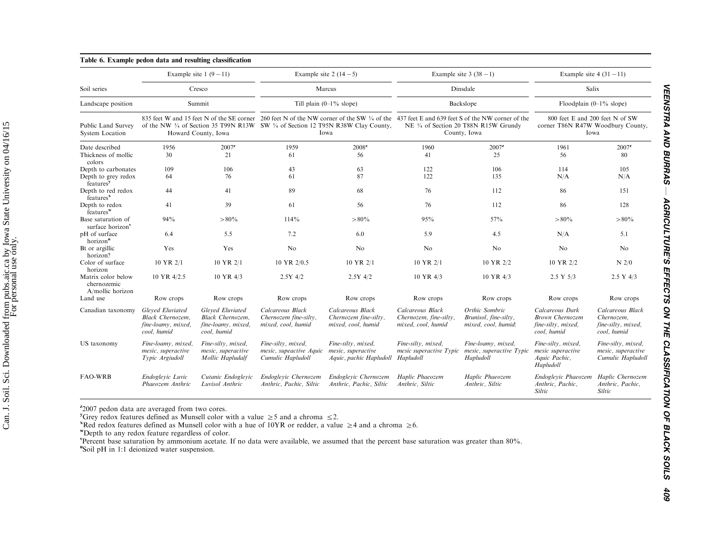|                                                       | Example site $1(9-11)$                                                           |                                                                                  | Example site $2(14-5)$                                                                                |                                                                     | Example site $3(38-1)$                                                                                                                                                                                          |                                                                | Example site $4(31-11)$                                                        |                                                                     |  |
|-------------------------------------------------------|----------------------------------------------------------------------------------|----------------------------------------------------------------------------------|-------------------------------------------------------------------------------------------------------|---------------------------------------------------------------------|-----------------------------------------------------------------------------------------------------------------------------------------------------------------------------------------------------------------|----------------------------------------------------------------|--------------------------------------------------------------------------------|---------------------------------------------------------------------|--|
| Soil series                                           |                                                                                  | Cresco                                                                           |                                                                                                       | Marcus                                                              | Dinsdale                                                                                                                                                                                                        |                                                                | Salix                                                                          |                                                                     |  |
| Landscape position                                    |                                                                                  | Summit                                                                           |                                                                                                       | Till plain $(0-1\%$ slope)                                          |                                                                                                                                                                                                                 | Backslope                                                      |                                                                                | Floodplain $(0-1\%$ slope)                                          |  |
| Public Land Survey<br><b>System Location</b>          |                                                                                  | Howard County, Iowa                                                              | of the NW $\frac{1}{4}$ of Section 35 T99N R13W SW $\frac{1}{4}$ of Section 12 T95N R38W Clay County, | Iowa                                                                | 835 feet W and 15 feet N of the SE corner 260 feet N of the NW corner of the SW $\frac{1}{4}$ of the 437 feet E and 639 feet S of the NW corner of the<br>NE 1/4 of Section 20 T88N R15W Grundy<br>County, Iowa |                                                                | 800 feet E and 200 feet N of SW<br>corner T86N R47W Woodbury County,<br>Iowa   |                                                                     |  |
| Date described                                        | 1956                                                                             | $2007^z$                                                                         | 1959                                                                                                  | $2008^z$                                                            | 1960                                                                                                                                                                                                            | $2007^z$                                                       | 1961                                                                           | $2007^z$                                                            |  |
| Thickness of mollic<br>colors                         | 30                                                                               | 21                                                                               | 61                                                                                                    | 56                                                                  | 41                                                                                                                                                                                                              | 25                                                             | 56                                                                             | 80                                                                  |  |
| Depth to carbonates                                   | 109                                                                              | 106                                                                              | 43                                                                                                    | 63                                                                  | 122                                                                                                                                                                                                             | 106                                                            | 114                                                                            | 105                                                                 |  |
| Depth to grey redox<br>features <sup>y</sup>          | 64                                                                               | 76                                                                               | 61                                                                                                    | 87                                                                  | 122                                                                                                                                                                                                             | 135                                                            | N/A                                                                            | N/A                                                                 |  |
| Depth to red redox<br>features <sup>x</sup>           | 44                                                                               | 41                                                                               | 89                                                                                                    | 68                                                                  | 76                                                                                                                                                                                                              | 112                                                            | 86                                                                             | 151                                                                 |  |
| Depth to redox<br>$features^w$                        | 41                                                                               | 39                                                                               | 61                                                                                                    | 56                                                                  | 76                                                                                                                                                                                                              | 112                                                            | 86                                                                             | 128                                                                 |  |
| Base saturation of<br>surface horizon <sup>v</sup>    | 94%                                                                              | $>80\%$                                                                          | 114%                                                                                                  | $>80\%$                                                             | 95%                                                                                                                                                                                                             | 57%                                                            | $>80\%$                                                                        | $>80\%$                                                             |  |
| pH of surface<br>horizon"                             | 6.4                                                                              | 5.5                                                                              | 7.2                                                                                                   | 6.0                                                                 | 5.9                                                                                                                                                                                                             | 4.5                                                            | N/A                                                                            | 5.1                                                                 |  |
| Bt or argillic<br>horizon?                            | Yes                                                                              | Yes                                                                              | No                                                                                                    | No                                                                  | No                                                                                                                                                                                                              | N <sub>0</sub>                                                 | No                                                                             | No                                                                  |  |
| Color of surface<br>horizon                           | $10 \text{ YR} 2/1$                                                              | 10 YR 2/1                                                                        | 10 YR 2/0.5                                                                                           | 10 YR 2/1                                                           | 10 YR 2/1                                                                                                                                                                                                       | 10 YR 2/2                                                      | 10 YR 2/2                                                                      | $N$ 2/0                                                             |  |
| Matrix color below<br>chernozemic<br>A/mollic horizon | 10 YR 4/2.5                                                                      | $10 \text{ YR}$ 4/3                                                              | $2.5Y$ 4/2                                                                                            | $2.5Y$ 4/2                                                          | 10 YR 4/3                                                                                                                                                                                                       | 10 YR 4/3                                                      | 2.5 Y 5/3                                                                      | 2.5 Y 4/3                                                           |  |
| Land use                                              | Row crops                                                                        | Row crops                                                                        | Row crops                                                                                             | Row crops                                                           | Row crops                                                                                                                                                                                                       | Row crops                                                      | Row crops                                                                      | Row crops                                                           |  |
| Canadian taxonomy                                     | Gleved Eluviated<br><b>Black Chernozem.</b><br>fine-loamy, mixed,<br>cool, humid | Gleved Eluviated<br><b>Black Chernozem.</b><br>fine-loamy, mixed,<br>cool, humid | Calcareous Black<br>Chernozem fine-silty,<br>mixed, cool, humid                                       | Calcareous Black<br>Chernozem fine-silty,<br>mixed, cool, humid     | Calcareous Black<br>Chernozem, fine-silty,<br>mixed, cool, humid                                                                                                                                                | Orthic Sombric<br>Brunisol, fine-silty,<br>mixed, cool, humid: | Calcareous Dark<br><b>Brown Chernozem</b><br>fine-silty, mixed,<br>cool, humid | Calcareous Black<br>Chernozem.<br>fine-silty, mixed,<br>cool, humid |  |
| US taxonomy                                           | Fine-loamy, mixed,<br>mesic, superactive<br>Typic Argiudoll                      | Fine-silty, mixed,<br>mesic, superactive<br>Mollic Hapludalf                     | Fine-silty, mixed,<br>mesic, supeactive Aquic<br>Cumulic Hapludoll                                    | Fine-silty, mixed,<br>mesic, superactive<br>Aquic, pachic Hapludoll | Fine-silty, mixed,<br>mesic superactive Typic<br>Hapludoll                                                                                                                                                      | Fine-loamy, mixed,<br>mesic, superactive Typic<br>Hapludoll    | Fine-silty, mixed,<br>mesic superactive<br>Aquic Pachic,<br>Hapludoll          | Fine-silty, mixed,<br>mesic, superactive<br>Cumulic Hapludoll       |  |
| <b>FAO-WRB</b>                                        | Endoglevic Luvic<br>Phaeozem Anthric                                             | Cutanic Endoglevic<br>Luvisol Anthric                                            | Endoglevic Chernozem<br>Anthric, Pachic, Siltic                                                       | Endoglevic Chernozem<br>Anthric, Pachic, Siltic                     | Haplic Phaeozem<br>Anthric, Siltic                                                                                                                                                                              | Haplic Phaeozem<br>Anthric, Siltic                             | Endoglevic Phaeozem<br>Anthric, Pachic,<br>Siltic                              | Haplic Chernozem<br>Anthric, Pachic,<br>Siltic                      |  |

 $z_{2007}$  pedon data are averaged from two cores.

<sup>y</sup>Grey redox features defined as Munsell color with a value  $\geq 5$  and a chroma  $\leq 2$ .

<sup>x</sup>Red redox features defined as Munsell color with a hue of 10YR or redder, a value  $\geq 4$  and a chroma  $\geq 6$ .

<sup>w</sup>Depth to any redox feature regardless of color.

<sup>v</sup>Percent base saturation by ammonium acetate. If no data were available, we assumed that the percent base saturation was greater than 80%.

<sup>u</sup>Soil pH in 1:1 deionized water suspension.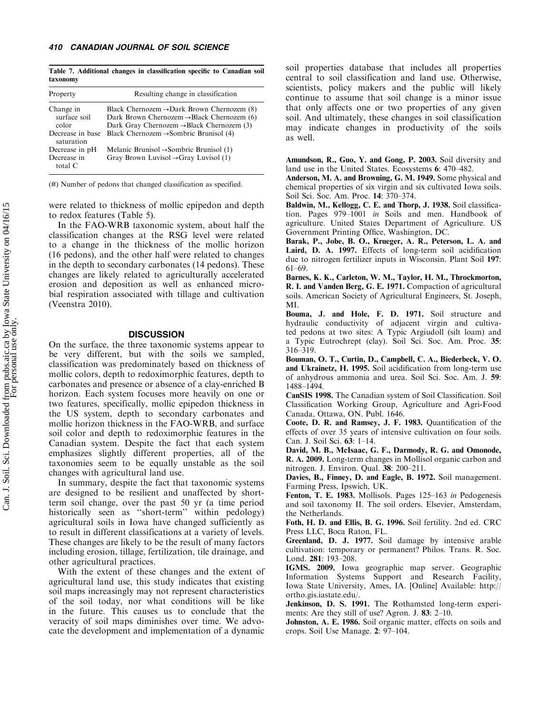Table 7. Additional changes in classification specific to Canadian soil taxonomy

| Property                           | Resulting change in classification                                                                                                                                        |
|------------------------------------|---------------------------------------------------------------------------------------------------------------------------------------------------------------------------|
| Change in<br>surface soil<br>color | Black Chernozem $\rightarrow$ Dark Brown Chernozem (8)<br>Dark Brown Chernozem $\rightarrow$ Black Chernozem (6)<br>Dark Gray Chernozem $\rightarrow$ Black Chernozem (3) |
| Decrease in base<br>saturation     | Black Chernozem $\rightarrow$ Sombric Brunisol (4)                                                                                                                        |
| Decrease in pH                     | Melanic Brunisol $\rightarrow$ Sombric Brunisol (1)                                                                                                                       |
| Decrease in<br>total $C$           | Gray Brown Luvisol $\rightarrow$ Gray Luvisol (1)                                                                                                                         |

(#) Number of pedons that changed classification as specified.

were related to thickness of mollic epipedon and depth to redox features (Table 5).

In the FAO-WRB taxonomic system, about half the classification changes at the RSG level were related to a change in the thickness of the mollic horizon (16 pedons), and the other half were related to changes in the depth to secondary carbonates (14 pedons). These changes are likely related to agriculturally accelerated erosion and deposition as well as enhanced microbial respiration associated with tillage and cultivation (Veenstra 2010).

# **DISCUSSION**

On the surface, the three taxonomic systems appear to be very different, but with the soils we sampled, classification was predominately based on thickness of mollic colors, depth to redoximorphic features, depth to carbonates and presence or absence of a clay-enriched B horizon. Each system focuses more heavily on one or two features, specifically, mollic epipedon thickness in the US system, depth to secondary carbonates and mollic horizon thickness in the FAO-WRB, and surface soil color and depth to redoximorphic features in the Canadian system. Despite the fact that each system emphasizes slightly different properties, all of the taxonomies seem to be equally unstable as the soil changes with agricultural land use.

In summary, despite the fact that taxonomic systems are designed to be resilient and unaffected by shortterm soil change, over the past 50 yr (a time period historically seen as ''short-term'' within pedology) agricultural soils in Iowa have changed sufficiently as to result in different classifications at a variety of levels. These changes are likely to be the result of many factors including erosion, tillage, fertilization, tile drainage, and other agricultural practices.

With the extent of these changes and the extent of agricultural land use, this study indicates that existing soil maps increasingly may not represent characteristics of the soil today, nor what conditions will be like in the future. This causes us to conclude that the veracity of soil maps diminishes over time. We advocate the development and implementation of a dynamic

soil properties database that includes all properties central to soil classification and land use. Otherwise, scientists, policy makers and the public will likely continue to assume that soil change is a minor issue that only affects one or two properties of any given soil. And ultimately, these changes in soil classification may indicate changes in productivity of the soils as well.

Amundson, R., Guo, Y. and Gong, P. 2003. Soil diversity and land use in the United States. Ecosystems 6: 470-482.

Anderson, M. A. and Browning, G. M. 1949. Some physical and chemical properties of six virgin and six cultivated Iowa soils. Soil Sci. Soc. Am. Proc. 14: 370-374.

Baldwin, M., Kellogg, C. E. and Thorp, J. 1938. Soil classification. Pages 979-1001 in Soils and men. Handbook of agriculture. United States Department of Agriculture. US Government Printing Office, Washington, DC.

Barak, P., Jobe, B. O., Krueger, A. R., Peterson, L. A. and Laird, D. A. 1997. Effects of long-term soil acidification due to nitrogen fertilizer inputs in Wisconsin. Plant Soil 197: 61-69.

Barnes, K. K., Carleton, W. M., Taylor, H. M., Throckmorton, R. I. and Vanden Berg, G. E. 1971. Compaction of agricultural soils. American Society of Agricultural Engineers, St. Joseph, MI.

Bouma, J. and Hole, F. D. 1971. Soil structure and hydraulic conductivity of adjacent virgin and cultivated pedons at two sites: A Typic Argiudoll (silt loam) and a Typic Eutrochrept (clay). Soil Sci. Soc. Am. Proc. 35: 316-319.

Bouman, O. T., Curtin, D., Campbell, C. A., Biederbeck, V. O. and Ukrainetz, H. 1995. Soil acidification from long-term use of anhydrous ammonia and urea. Soil Sci. Soc. Am. J. 59: 1488-1494.

CanSIS 1998. The Canadian system of Soil Classification. Soil Classification Working Group, Agriculture and Agri-Food Canada, Ottawa, ON. Publ. 1646.

Coote, D. R. and Ramsey, J. F. 1983. Quantification of the effects of over 35 years of intensive cultivation on four soils. Can. J. Soil Sci. 63: 1-14.

David, M. B., McIsaac, G. F., Darmody, R. G. and Omonode, R. A. 2009. Long-term changes in Mollisol organic carbon and nitrogen. J. Environ. Qual. 38: 200-211.

Davies, B., Finney, D. and Eagle, B. 1972. Soil management. Farming Press, Ipswich, UK.

Fenton, T. E. 1983. Mollisols. Pages 125-163 in Pedogenesis and soil taxonomy II. The soil orders. Elsevier, Amsterdam, the Netherlands.

Foth, H. D. and Ellis, B. G. 1996. Soil fertility. 2nd ed. CRC Press LLC, Boca Raton, FL.

Greenland, D. J. 1977. Soil damage by intensive arable cultivation: temporary or permanent? Philos. Trans. R. Soc. Lond. 281: 193-208.

IGMS. 2009. Iowa geographic map server. Geographic Information Systems Support and Research Facility, Iowa State University, Ames, IA. [Online] Available: http:// ortho.gis.iastate.edu/.

Jenkinson, D. S. 1991. The Rothamsted long-term experiments: Are they still of use? Agron. J. 83: 2–10.

Johnston, A. E. 1986. Soil organic matter, effects on soils and crops. Soil Use Manage. 2: 97-104.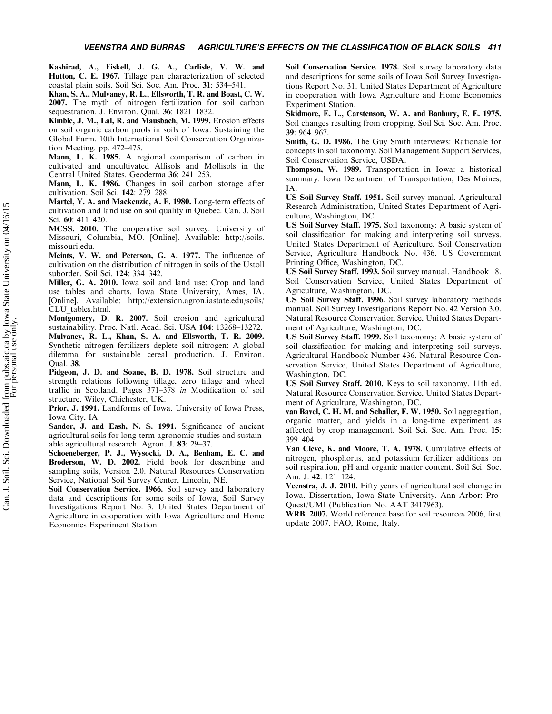Kashirad, A., Fiskell, J. G. A., Carlisle, V. W. and Hutton, C. E. 1967. Tillage pan characterization of selected coastal plain soils. Soil Sci. Soc. Am. Proc. 31: 534-541.

Khan, S. A., Mulvaney, R. L., Ellsworth, T. R. and Boast, C. W. 2007. The myth of nitrogen fertilization for soil carbon sequestration. J. Environ. Qual. 36: 1821-1832.

Kimble, J. M., Lal, R. and Mausbach, M. 1999. Erosion effects on soil organic carbon pools in soils of Iowa. Sustaining the Global Farm. 10th International Soil Conservation Organization Meeting. pp. 472-475.

Mann, L. K. 1985. A regional comparison of carbon in cultivated and uncultivated Alfisols and Mollisols in the Central United States. Geoderma 36: 241-253.

Mann, L. K. 1986. Changes in soil carbon storage after cultivation. Soil Sci. 142: 279-288.

Martel, Y. A. and Mackenzie, A. F. 1980. Long-term effects of cultivation and land use on soil quality in Quebec. Can. J. Soil Sci. 60: 411-420.

MCSS. 2010. The cooperative soil survey. University of Missouri, Columbia, MO. [Online]. Available: http://soils. missouri.edu.

Meints, V. W. and Peterson, G. A. 1977. The influence of cultivation on the distribution of nitrogen in soils of the Ustoll suborder. Soil Sci. 124: 334-342.

Miller, G. A. 2010. Iowa soil and land use: Crop and land use tables and charts. Iowa State University, Ames, IA. [Online]. Available: http://extension.agron.iastate.edu/soils/ CLU\_tables.html.

Montgomery, D. R. 2007. Soil erosion and agricultural sustainability. Proc. Natl. Acad. Sci. USA 104: 13268-13272. Mulvaney, R. L., Khan, S. A. and Ellsworth, T. R. 2009. Synthetic nitrogen fertilizers deplete soil nitrogen: A global dilemma for sustainable cereal production. J. Environ. Qual. 38.

Pidgeon, J. D. and Soane, B. D. 1978. Soil structure and strength relations following tillage, zero tillage and wheel traffic in Scotland. Pages 371-378 in Modification of soil structure. Wiley, Chichester, UK.

Prior, J. 1991. Landforms of Iowa. University of Iowa Press, Iowa City, IA.

Sandor, J. and Eash, N. S. 1991. Significance of ancient agricultural soils for long-term agronomic studies and sustainable agricultural research. Agron. J. 83: 29-37.

Schoeneberger, P. J., Wysocki, D. A., Benham, E. C. and Broderson, W. D. 2002. Field book for describing and sampling soils, Version 2.0. Natural Resources Conservation Service, National Soil Survey Center, Lincoln, NE.

Soil Conservation Service. 1966. Soil survey and laboratory data and descriptions for some soils of Iowa, Soil Survey Investigations Report No. 3. United States Department of Agriculture in cooperation with Iowa Agriculture and Home Economics Experiment Station.

Soil Conservation Service. 1978. Soil survey laboratory data and descriptions for some soils of Iowa Soil Survey Investigations Report No. 31. United States Department of Agriculture in cooperation with Iowa Agriculture and Home Economics Experiment Station.

Skidmore, E. L., Carstenson, W. A. and Banbury, E. E. 1975. Soil changes resulting from cropping. Soil Sci. Soc. Am. Proc. 39: 964-967.

Smith, G. D. 1986. The Guy Smith interviews: Rationale for concepts in soil taxonomy. Soil Management Support Services, Soil Conservation Service, USDA.

Thompson, W. 1989. Transportation in Iowa: a historical summary. Iowa Department of Transportation, Des Moines, IA.

US Soil Survey Staff. 1951. Soil survey manual. Agricultural Research Administration, United States Department of Agriculture, Washington, DC.

US Soil Survey Staff. 1975. Soil taxonomy: A basic system of soil classification for making and interpreting soil surveys. United States Department of Agriculture, Soil Conservation Service, Agriculture Handbook No. 436. US Government Printing Office, Washington, DC.

US Soil Survey Staff. 1993. Soil survey manual. Handbook 18. Soil Conservation Service, United States Department of Agriculture, Washington, DC.

US Soil Survey Staff. 1996. Soil survey laboratory methods manual. Soil Survey Investigations Report No. 42 Version 3.0. Natural Resource Conservation Service, United States Department of Agriculture, Washington, DC.

US Soil Survey Staff. 1999. Soil taxonomy: A basic system of soil classification for making and interpreting soil surveys. Agricultural Handbook Number 436. Natural Resource Conservation Service, United States Department of Agriculture, Washington, DC.

US Soil Survey Staff. 2010. Keys to soil taxonomy. 11th ed. Natural Resource Conservation Service, United States Department of Agriculture, Washington, DC.

van Bavel, C. H. M. and Schaller, F. W. 1950. Soil aggregation, organic matter, and yields in a long-time experiment as affected by crop management. Soil Sci. Soc. Am. Proc. 15: 399-404.

Van Cleve, K. and Moore, T. A. 1978. Cumulative effects of nitrogen, phosphorus, and potassium fertilizer additions on soil respiration, pH and organic matter content. Soil Sci. Soc. Am. J. **42**: 121–124.

Veenstra, J. J. 2010. Fifty years of agricultural soil change in Iowa. Dissertation, Iowa State University. Ann Arbor: Pro-Quest/UMI (Publication No. AAT 3417963).

WRB. 2007. World reference base for soil resources 2006, first update 2007. FAO, Rome, Italy.